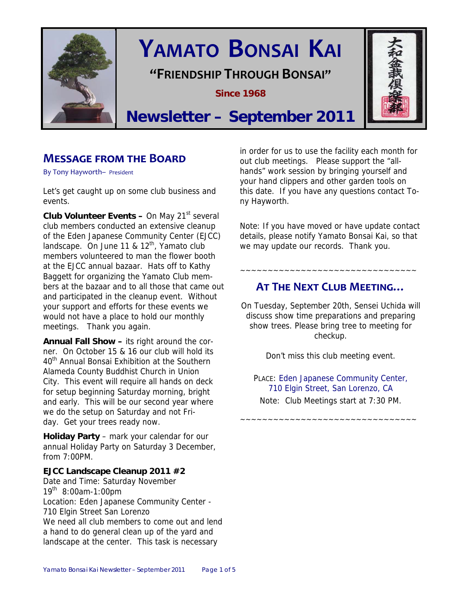

# **YAMATO BONSAI KAI**

**"FRIENDSHIP THROUGH BONSAI"**

**Since 1968** 



## **Newsletter – September 2011**

## **MESSAGE FROM THE BOARD**

By Tony Hayworth– President

Let's get caught up on some club business and events.

**Club Volunteer Events – On May 21<sup>st</sup> several** club members conducted an extensive cleanup of the Eden Japanese Community Center (EJCC) landscape. On June 11 &  $12<sup>th</sup>$ , Yamato club members volunteered to man the flower booth at the EJCC annual bazaar. Hats off to Kathy Baggett for organizing the Yamato Club members at the bazaar and to all those that came out and participated in the cleanup event. Without your support and efforts for these events we would not have a place to hold our monthly meetings. Thank you again.

**Annual Fall Show –** its right around the corner. On October 15 & 16 our club will hold its 40<sup>th</sup> Annual Bonsai Exhibition at the Southern Alameda County Buddhist Church in Union City. This event will require all hands on deck for setup beginning Saturday morning, bright and early. This will be our second year where we do the setup on Saturday and not Friday. Get your trees ready now.

**Holiday Party** – mark your calendar for our annual Holiday Party on Saturday 3 December, from 7:00PM.

#### **EJCC Landscape Cleanup 2011 #2**

Date and Time: Saturday November  $19^{th}$  8:00am-1:00pm Location: Eden Japanese Community Center - 710 Elgin Street San Lorenzo We need all club members to come out and lend a hand to do general clean up of the yard and landscape at the center. This task is necessary

in order for us to use the facility each month for out club meetings. Please support the "allhands" work session by bringing yourself and your hand clippers and other garden tools on this date. If you have any questions contact Tony Hayworth.

Note: If you have moved or have update contact details, please notify Yamato Bonsai Kai, so that we may update our records. Thank you.

## **AT THE NEXT CLUB MEETING…**

~~~~~~~~~~~~~~~~~~~~~~~~~~~~~~~~

On Tuesday, September 20th, Sensei Uchida will discuss show time preparations and preparing show trees. Please bring tree to meeting for checkup.

Don't miss this club meeting event.

PLACE: Eden Japanese Community Center, 710 Elgin Street, San Lorenzo, CA Note: Club Meetings start at 7:30 PM.

~~~~~~~~~~~~~~~~~~~~~~~~~~~~~~~~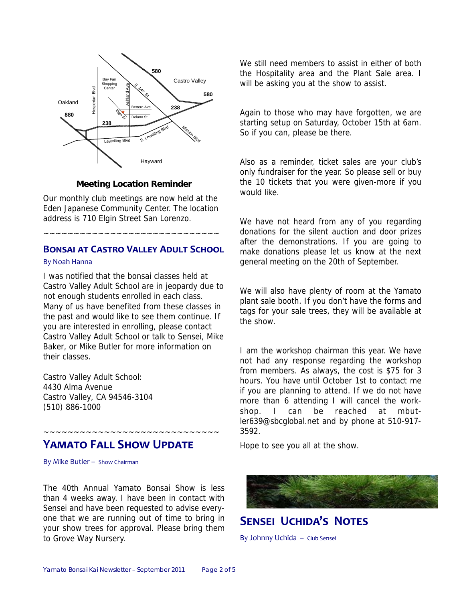

#### **Meeting Location Reminder**

Our monthly club meetings are now held at the Eden Japanese Community Center. The location address is 710 Elgin Street San Lorenzo.

#### **BONSAI AT CASTRO VALLEY ADULT SCHOOL**

~~~~~~~~~~~~~~~~~~~~~~~~~~~~~

#### By Noah Hanna

I was notified that the bonsai classes held at Castro Valley Adult School are in jeopardy due to not enough students enrolled in each class. Many of us have benefited from these classes in the past and would like to see them continue. If you are interested in enrolling, please contact Castro Valley Adult School or talk to Sensei, Mike Baker, or Mike Butler for more information on their classes.

Castro Valley Adult School: 4430 Alma Avenue Castro Valley, CA 94546-3104 (510) 886-1000

## **YAMATO FALL SHOW UPDATE**

~~~~~~~~~~~~~~~~~~~~~~~~~~~~~

By Mike Butler – Show Chairman

The 40th Annual Yamato Bonsai Show is less than 4 weeks away. I have been in contact with Sensei and have been requested to advise everyone that we are running out of time to bring in your show trees for approval. Please bring them to Grove Way Nursery.

We still need members to assist in either of both the Hospitality area and the Plant Sale area. I will be asking you at the show to assist.

Again to those who may have forgotten, we are starting setup on Saturday, October 15th at 6am. So if you can, please be there.

Also as a reminder, ticket sales are your club's only fundraiser for the year. So please sell or buy the 10 tickets that you were given-more if you would like.

We have not heard from any of you regarding donations for the silent auction and door prizes after the demonstrations. If you are going to make donations please let us know at the next general meeting on the 20th of September.

We will also have plenty of room at the Yamato plant sale booth. If you don't have the forms and tags for your sale trees, they will be available at the show.

I am the workshop chairman this year. We have not had any response regarding the workshop from members. As always, the cost is \$75 for 3 hours. You have until October 1st to contact me if you are planning to attend. If we do not have more than 6 attending I will cancel the workshop. I can be reached at mbutler639@sbcglobal.net and by phone at 510-917- 3592.

Hope to see you all at the show.



**SENSEI UCHIDA'S NOTES**

By Johnny Uchida – Club Sensei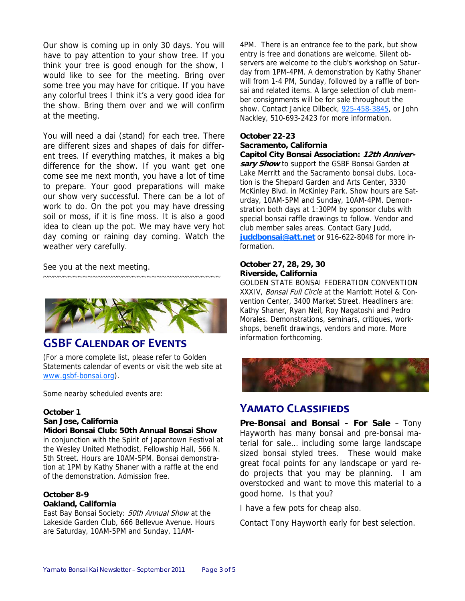Our show is coming up in only 30 days. You will have to pay attention to your show tree. If you think your tree is good enough for the show, I would like to see for the meeting. Bring over some tree you may have for critique. If you have any colorful trees I think it's a very good idea for the show. Bring them over and we will confirm at the meeting.

You will need a dai (stand) for each tree. There are different sizes and shapes of dais for different trees. If everything matches, it makes a big difference for the show. If you want get one come see me next month, you have a lot of time to prepare. Your good preparations will make our show very successful. There can be a lot of work to do. On the pot you may have dressing soil or moss, if it is fine moss. It is also a good idea to clean up the pot. We may have very hot day coming or raining day coming. Watch the weather very carefully.

See you at the next meeting.



~~~~~~~~~~~~~~~~~~~~~~~~~~~~~~~~~~~~

## **GSBF CALENDAR OF EVENTS**

(For a more complete list, please refer to Golden Statements calendar of events or visit the web site at www.gsbf-bonsai.org).

Some nearby scheduled events are:

#### **October 1**

#### **San Jose, California**

**Midori Bonsai Club: 50th Annual Bonsai Show**

in conjunction with the Spirit of Japantown Festival at the Wesley United Methodist, Fellowship Hall, 566 N. 5th Street. Hours are 10AM-5PM. Bonsai demonstration at 1PM by Kathy Shaner with a raffle at the end of the demonstration. Admission free.

#### **October 8-9 Oakland, California**

East Bay Bonsai Society: 50th Annual Show at the Lakeside Garden Club, 666 Bellevue Avenue. Hours are Saturday, 10AM-5PM and Sunday, 11AM-

4PM. There is an entrance fee to the park, but show entry is free and donations are welcome. Silent observers are welcome to the club's workshop on Saturday from 1PM-4PM. A demonstration by Kathy Shaner will from 1-4 PM, Sunday, followed by a raffle of bonsai and related items. A large selection of club member consignments will be for sale throughout the show. Contact Janice Dilbeck, 925-458-3845, or John Nackley, 510-693-2423 for more information.

#### **October 22-23 Sacramento, California**

**Capitol City Bonsai Association: 12th Anniversary Show** to support the GSBF Bonsai Garden at Lake Merritt and the Sacramento bonsai clubs. Location is the Shepard Garden and Arts Center, 3330 McKinley Blvd. in McKinley Park. Show hours are Saturday, 10AM-5PM and Sunday, 10AM-4PM. Demonstration both days at 1:30PM by sponsor clubs with special bonsai raffle drawings to follow. Vendor and club member sales areas. Contact Gary Judd, **juddbonsai@att.net** or 916-622-8048 for more information.

#### **October 27, 28, 29, 30 Riverside, California**

GOLDEN STATE BONSAI FEDERATION CONVENTION XXXIV, Bonsai Full Circle at the Marriott Hotel & Convention Center, 3400 Market Street. Headliners are: Kathy Shaner, Ryan Neil, Roy Nagatoshi and Pedro Morales. Demonstrations, seminars, critiques, workshops, benefit drawings, vendors and more. More information forthcoming.



## **YAMATO CLASSIFIEDS**

**Pre-Bonsai and Bonsai - For Sale** – Tony Hayworth has many bonsai and pre-bonsai material for sale… including some large landscape sized bonsai styled trees. These would make great focal points for any landscape or yard redo projects that you may be planning. I am overstocked and want to move this material to a good home. Is that you?

I have a few pots for cheap also.

Contact Tony Hayworth early for best selection.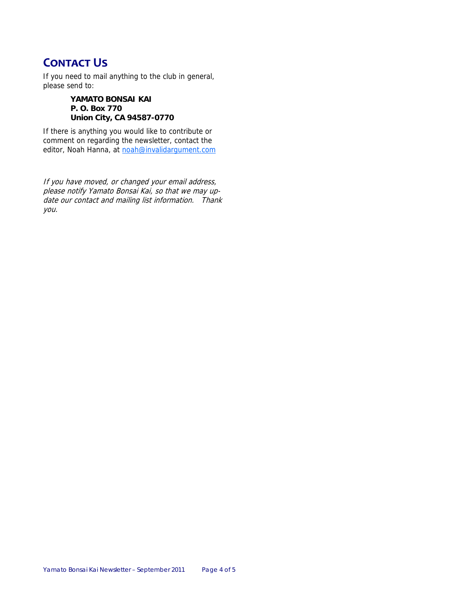## **CONTACT US**

If you need to mail anything to the club in general, please send to:

> **YAMATO BONSAI KAI P. O. Box 770 Union City, CA 94587-0770**

If there is anything you would like to contribute or comment on regarding the newsletter, contact the editor, Noah Hanna, at noah@invalidargument.com

If you have moved, or changed your email address, please notify Yamato Bonsai Kai, so that we may update our contact and mailing list information. Thank you.